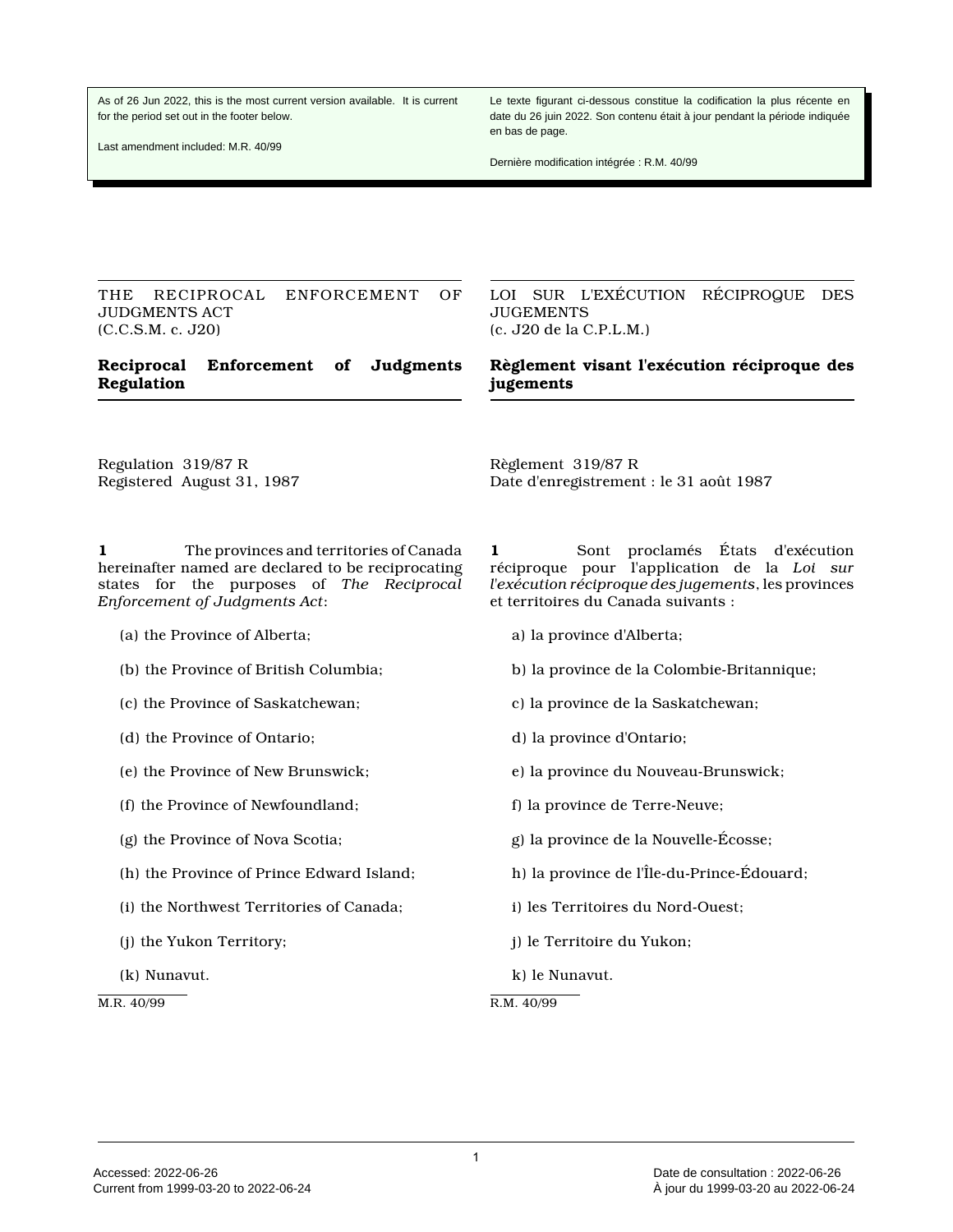As of 26 Jun 2022, this is the most current version available. It is current for the period set out in the footer below.

Last amendment included: M.R. 40/99

Le texte figurant ci-dessous constitue la codification la plus récente en date du 26 juin 2022. Son contenu était à jour pendant la période indiquée en bas de page.

Dernière modification intégrée : R.M. 40/99

THE RECIPROCAL ENFORCEMENT OF JUDGMENTS ACT (C.C.S.M. c. J20)

## **Reciprocal Enforcement of Judgments Regulation**

LOI SUR L'EXÉCUTION RÉCIPROQUE DES JUGEMENTS (c. J20 de la C.P.L.M.)

## **Règlement visant l'exécution réciproque des jugements**

Regulation 319/87 R Registered August 31, 1987

**1** The provinces and territories of Canada hereinafter named are declared to be reciprocating states for the purposes of *The Reciprocal Enforcement of Judgments Act*:

- (a) the Province of Alberta;
- (b) the Province of British Columbia;
- (c) the Province of Saskatchewan;
- (d) the Province of Ontario;
- (e) the Province of New Brunswick;
- (f) the Province of Newfoundland;
- (g) the Province of Nova Scotia;
- (h) the Province of Prince Edward Island;
- (i) the Northwest Territories of Canada;
- (j) the Yukon Territory;
- (k) Nunavut.

M.R. 40/99

**1** Sont proclamés États d'exécution réciproque pour l'application de la *Loi sur l'exécution réciproque des jugements*, les provinces et territoires du Canada suivants :

a) la province d'Alberta;

Règlement 319/87 R

- b) la province de la Colombie-Britannique;
- c) la province de la Saskatchewan;

Date d'enregistrement : le 31 août 1987

- d) la province d'Ontario;
- e) la province du Nouveau-Brunswick;
- f) la province de Terre-Neuve;
- g) la province de la Nouvelle-Écosse;
- h) la province de l'Île-du-Prince-Édouard;
- i) les Territoires du Nord-Ouest;
- j) le Territoire du Yukon;
- k) le Nunavut.

R.M. 40/99